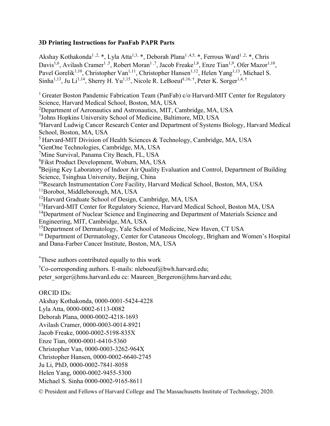### 3D Printing Instructions for PanFab PAPR Parts

Akshay Kothakonda<sup>1, 2, \*</sup>, Lyla Atta<sup>1, 3,</sup> \*, Deborah Plana<sup>1, 4, 5</sup>, \*, Ferrous Ward<sup>1, 2,</sup> \*, Chris Davis<sup>1,6</sup>, Avilash Cramer<sup>1,5</sup>, Robert Moran<sup>1,7</sup>, Jacob Freake<sup>1,8</sup>, Enze Tian<sup>1,9</sup>, Ofer Mazor<sup>1,10</sup>, Pavel Gorelik<sup>1,10</sup>, Christopher Van<sup>1,11</sup>, Christopher Hansen<sup>1,12</sup>, Helen Yang<sup>1,13</sup>, Michael S. Sinha<sup>1,13</sup>, Ju Li<sup>1,14</sup>, Sherry H. Yu<sup>1,15</sup>, Nicole R. LeBoeuf<sup>1,16,†</sup>, Peter K. Sorger<sup>1,4,†</sup>

<sup>1</sup> Greater Boston Pandemic Fabrication Team (PanFab) c/o Harvard-MIT Center for Regulatory Science, Harvard Medical School, Boston, MA, USA <sup>2</sup>Department of Aeronautics and Astronautics, MIT, Cambridge, MA, USA <sup>3</sup>Johns Hopkins University School of Medicine, Baltimore, MD, USA <sup>4</sup>Harvard Ludwig Cancer Research Center and Department of Systems Biology, Harvard Medical School, Boston, MA, USA  $<sup>5</sup>$  Harvard-MIT Division of Health Sciences & Technology, Cambridge, MA, USA</sup> <sup>6</sup>GenOne Technologies, Cambridge, MA, USA <sup>7</sup>Mine Survival, Panama City Beach, FL, USA <sup>8</sup>Fikst Product Development, Woburn, MA, USA <sup>9</sup>Beijing Key Laboratory of Indoor Air Quality Evaluation and Control, Department of Building Science, Tsinghua University, Beijing, China <sup>10</sup>Research Instrumentation Core Facility, Harvard Medical School, Boston, MA, USA <sup>11</sup>Borobot, Middleborough, MA, USA <sup>12</sup>Harvard Graduate School of Design, Cambridge, MA, USA <sup>13</sup>Harvard-MIT Center for Regulatory Science, Harvard Medical School, Boston MA, USA <sup>14</sup>Department of Nuclear Science and Engineering and Department of Materials Science and Engineering, MIT, Cambridge, MA, USA <sup>15</sup>Department of Dermatology, Yale School of Medicine, New Haven, CT USA <sup>16</sup> Department of Dermatology, Center for Cutaneous Oncology, Brigham and Women's Hospital and Dana-Farber Cancer Institute, Boston, MA, USA

\*These authors contributed equally to this work

<sup>†</sup>Co-corresponding authors. E-mails: nleboeuf@bwh.harvard.edu;

peter\_sorger@hms.harvard.edu cc: Maureen\_Bergeron@hms.harvard.edu;

### ORCID IDs:

Akshay Kothakonda, 0000-0001-5424-4228 Lyla Atta, 0000-0002-6113-0082 Deborah Plana, 0000-0002-4218-1693 Avilash Cramer, 0000-0003-0014-8921 Jacob Freake, 0000-0002-5198-835X Enze Tian, 0000-0001-6410-5360 Christopher Van, 0000-0003-3262-964X Christopher Hansen, 0000-0002-6640-2745 Ju Li, PhD, 0000-0002-7841-8058 Helen Yang, 0000-0002-9455-5300 Michael S. Sinha 0000-0002-9165-8611

© President and Fellows of Harvard College and The Massachusetts Institute of Technology, 2020.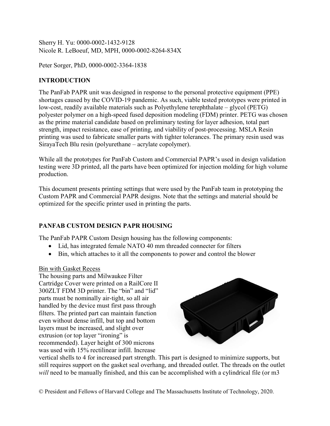Sherry H. Yu: 0000-0002-1432-9128 Nicole R. LeBoeuf, MD, MPH, 0000-0002-8264-834X

Peter Sorger, PhD, 0000-0002-3364-1838

# **INTRODUCTION**

The PanFab PAPR unit was designed in response to the personal protective equipment (PPE) shortages caused by the COVID-19 pandemic. As such, viable tested prototypes were printed in low-cost, readily available materials such as Polyethylene terephthalate – glycol (PETG) polyester polymer on a high-speed fused deposition modeling (FDM) printer. PETG was chosen as the prime material candidate based on preliminary testing for layer adhesion, total part strength, impact resistance, ease of printing, and viability of post-processing. MSLA Resin printing was used to fabricate smaller parts with tighter tolerances. The primary resin used was SirayaTech Blu resin (polyurethane – acrylate copolymer).

While all the prototypes for PanFab Custom and Commercial PAPR's used in design validation testing were 3D printed, all the parts have been optimized for injection molding for high volume production.

This document presents printing settings that were used by the PanFab team in prototyping the Custom PAPR and Commercial PAPR designs. Note that the settings and material should be optimized for the specific printer used in printing the parts.

# PANFAB CUSTOM DESIGN PAPR HOUSING

The PanFab PAPR Custom Design housing has the following components:

- Lid, has integrated female NATO 40 mm threaded connecter for filters
- Bin, which attaches to it all the components to power and control the blower

### Bin with Gasket Recess

The housing parts and Milwaukee Filter Cartridge Cover were printed on a RailCore II 300ZLT FDM 3D printer. The "bin" and "lid" parts must be nominally air-tight, so all air handled by the device must first pass through filters. The printed part can maintain function even without dense infill, but top and bottom layers must be increased, and slight over extrusion (or top layer "ironing" is recommended). Layer height of 300 microns was used with 15% rectilinear infill. Increase



vertical shells to 4 for increased part strength. This part is designed to minimize supports, but still requires support on the gasket seal overhang, and threaded outlet. The threads on the outlet will need to be manually finished, and this can be accomplished with a cylindrical file (or m3

© President and Fellows of Harvard College and The Massachusetts Institute of Technology, 2020.